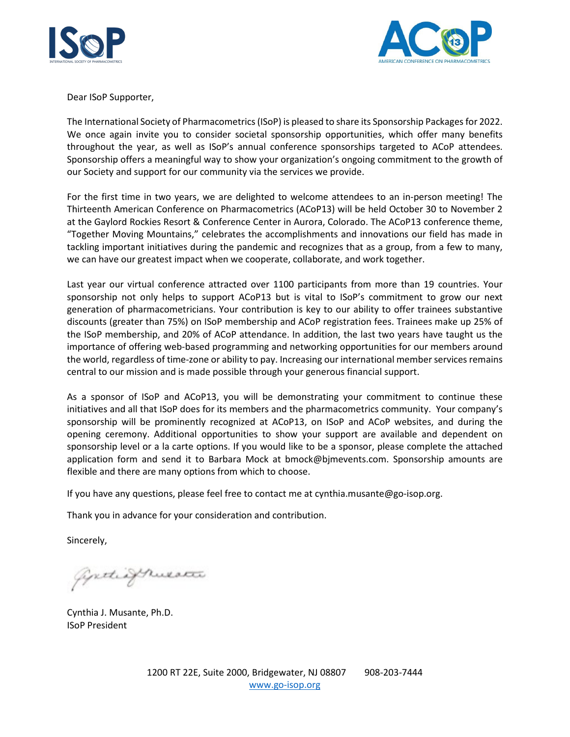



Dear ISoP Supporter,

The International Society of Pharmacometrics (ISoP) is pleased to share its Sponsorship Packages for 2022. We once again invite you to consider societal sponsorship opportunities, which offer many benefits throughout the year, as well as ISoP's annual conference sponsorships targeted to ACoP attendees. Sponsorship offers a meaningful way to show your organization's ongoing commitment to the growth of our Society and support for our community via the services we provide.

For the first time in two years, we are delighted to welcome attendees to an in-person meeting! The Thirteenth American Conference on Pharmacometrics (ACoP13) will be held October 30 to November 2 at the Gaylord Rockies Resort & Conference Center in Aurora, Colorado. The ACoP13 conference theme, "Together Moving Mountains," celebrates the accomplishments and innovations our field has made in tackling important initiatives during the pandemic and recognizes that as a group, from a few to many, we can have our greatest impact when we cooperate, collaborate, and work together.

Last year our virtual conference attracted over 1100 participants from more than 19 countries. Your sponsorship not only helps to support ACoP13 but is vital to ISoP's commitment to grow our next generation of pharmacometricians. Your contribution is key to our ability to offer trainees substantive discounts (greater than 75%) on ISoP membership and ACoP registration fees. Trainees make up 25% of the ISoP membership, and 20% of ACoP attendance. In addition, the last two years have taught us the importance of offering web-based programming and networking opportunities for our members around the world, regardless of time-zone or ability to pay. Increasing our international member services remains central to our mission and is made possible through your generous financial support.

As a sponsor of ISoP and ACoP13, you will be demonstrating your commitment to continue these initiatives and all that ISoP does for its members and the pharmacometrics community. Your company's sponsorship will be prominently recognized at ACoP13, on ISoP and ACoP websites, and during the opening ceremony. Additional opportunities to show your support are available and dependent on sponsorship level or a la carte options. If you would like to be a sponsor, please complete the attached application form and send it to Barbara Mock at bmock@bjmevents.com. Sponsorship amounts are flexible and there are many options from which to choose.

If you have any questions, please feel free to contact me at cynthia.musante@go-isop.org.

Thank you in advance for your consideration and contribution.

Sincerely,

Gretisfruesta

Cynthia J. Musante, Ph.D. ISoP President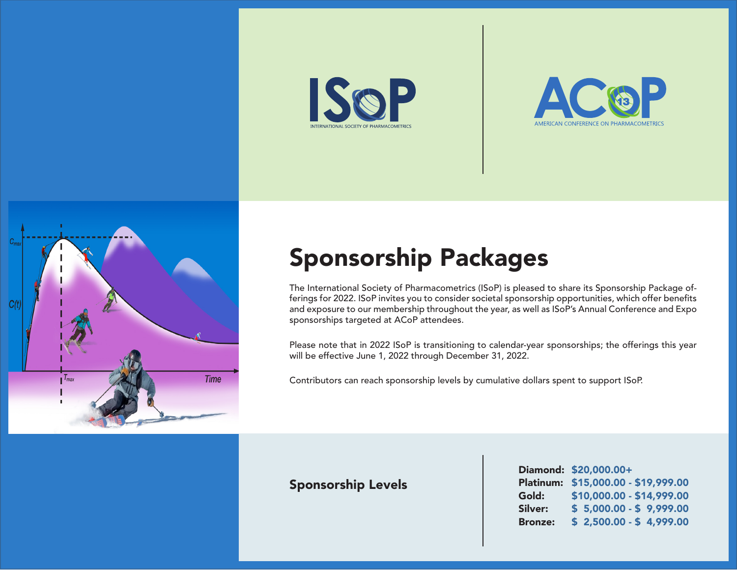





# Sponsorship Packages

The International Society of Pharmacometrics (ISoP) is pleased to share its Sponsorship Package offerings for 2022. ISoP invites you to consider societal sponsorship opportunities, which offer benefits and exposure to our membership throughout the year, as well as ISoP's Annual Conference and Expo sponsorships targeted at ACoP attendees.

Please note that in 2022 ISoP is transitioning to calendar-year sponsorships; the offerings this year will be effective June 1, 2022 through December 31, 2022.

Contributors can reach sponsorship levels by cumulative dollars spent to support ISoP.

### Sponsorship Levels

|                | Diamond: \$20,000.00+               |
|----------------|-------------------------------------|
|                | Platinum: \$15,000.00 - \$19,999.00 |
| Gold:          | \$10,000.00 - \$14,999.00           |
| Silver:        | $$5,000.00 - $9,999.00$             |
| <b>Bronze:</b> | $$2,500.00 - $4,999.00$             |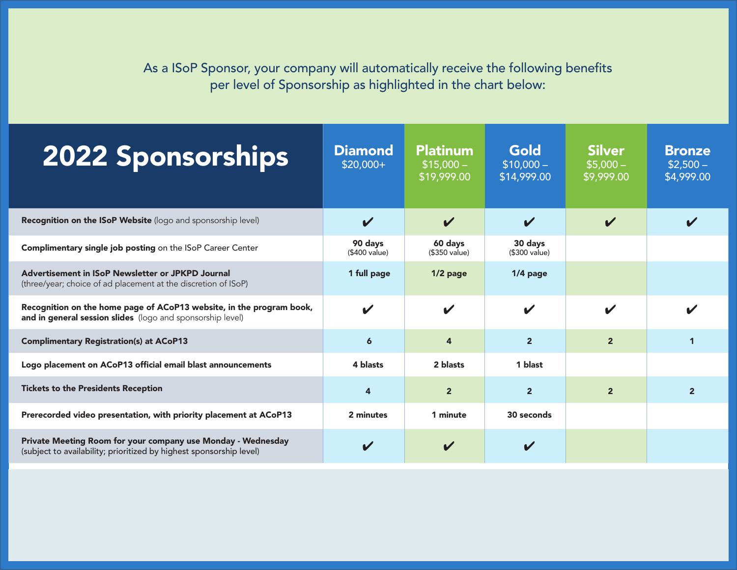As a ISoP Sponsor, your company will automatically receive the following benefits per level of Sponsorship as highlighted in the chart below:

| <b>2022 Sponsorships</b>                                                                                                            | <b>Diamond</b><br>$$20,000+$ | <b>Platinum</b><br>$$15,000-$<br>\$19,999.00 | Gold<br>$$10,000-$<br>\$14,999.00 | <b>Silver</b><br>$$5,000-$<br>\$9,999.00 | <b>Bronze</b><br>$$2,500-$<br>\$4,999.00 |
|-------------------------------------------------------------------------------------------------------------------------------------|------------------------------|----------------------------------------------|-----------------------------------|------------------------------------------|------------------------------------------|
| Recognition on the ISoP Website (logo and sponsorship level)                                                                        | $\boldsymbol{\mathcal{U}}$   | $\boldsymbol{\mathcal{U}}$                   | $\boldsymbol{\mathcal{U}}$        | $\boldsymbol{\mathcal{U}}$               |                                          |
| Complimentary single job posting on the ISoP Career Center                                                                          | 90 days<br>(\$400 value)     | 60 days<br>(\$350 value)                     | 30 days<br>(\$300 value)          |                                          |                                          |
| Advertisement in ISoP Newsletter or JPKPD Journal<br>(three/year; choice of ad placement at the discretion of ISoP)                 | 1 full page                  | $1/2$ page                                   | $1/4$ page                        |                                          |                                          |
| Recognition on the home page of ACoP13 website, in the program book,<br>and in general session slides (logo and sponsorship level)  | $\boldsymbol{\mathcal{U}}$   | $\boldsymbol{\mathcal{U}}$                   | $\boldsymbol{\mathcal{U}}$        | $\boldsymbol{\mathscr{C}}$               |                                          |
| <b>Complimentary Registration(s) at ACoP13</b>                                                                                      | $\boldsymbol{6}$             | 4                                            | $\overline{2}$                    | $\overline{2}$                           | $\mathbf 1$                              |
| Logo placement on ACoP13 official email blast announcements                                                                         | 4 blasts                     | 2 blasts                                     | 1 blast                           |                                          |                                          |
| <b>Tickets to the Presidents Reception</b>                                                                                          | $\overline{4}$               | $\overline{2}$                               | $\overline{2}$                    | $\overline{2}$                           | $\overline{2}$                           |
| Prerecorded video presentation, with priority placement at ACoP13                                                                   | 2 minutes                    | 1 minute                                     | 30 seconds                        |                                          |                                          |
| Private Meeting Room for your company use Monday - Wednesday<br>(subject to availability; prioritized by highest sponsorship level) | $\boldsymbol{\mathcal{U}}$   |                                              |                                   |                                          |                                          |

Ļ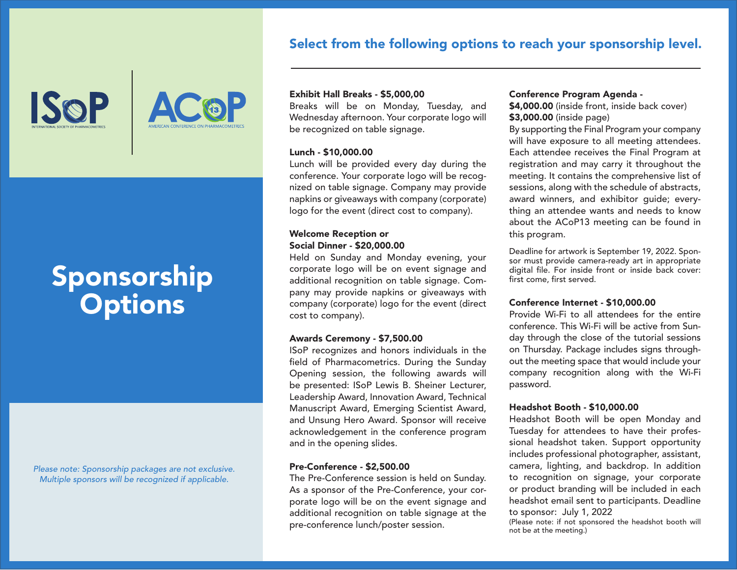### Select from the following options to reach your sponsorship level.

**ISOP** 



# Sponsorship **Options**

*Please note: Sponsorship packages are not exclusive. Multiple sponsors will be recognized if applicable.*

#### Exhibit Hall Breaks - \$5,000,00

Breaks will be on Monday, Tuesday, and Wednesday afternoon. Your corporate logo will be recognized on table signage.

#### Lunch - \$10,000.00

Lunch will be provided every day during the conference. Your corporate logo will be recognized on table signage. Company may provide napkins or giveaways with company (corporate) logo for the event (direct cost to company).

#### Welcome Reception or Social Dinner - \$20,000.00

Held on Sunday and Monday evening, your corporate logo will be on event signage and additional recognition on table signage. Company may provide napkins or giveaways with company (corporate) logo for the event (direct cost to company).

#### Awards Ceremony - \$7,500.00

ISoP recognizes and honors individuals in the field of Pharmacometrics. During the Sunday Opening session, the following awards will be presented: ISoP Lewis B. Sheiner Lecturer, Leadership Award, Innovation Award, Technical Manuscript Award, Emerging Scientist Award, and Unsung Hero Award. Sponsor will receive acknowledgement in the conference program and in the opening slides.

#### Pre-Conference - \$2,500.00

The Pre-Conference session is held on Sunday. As a sponsor of the Pre-Conference, your corporate logo will be on the event signage and additional recognition on table signage at the pre-conference lunch/poster session.

#### Conference Program Agenda -

\$4,000.00 (inside front, inside back cover) \$3,000.00 (inside page)

By supporting the Final Program your company will have exposure to all meeting attendees. Each attendee receives the Final Program at registration and may carry it throughout the meeting. It contains the comprehensive list of sessions, along with the schedule of abstracts, award winners, and exhibitor guide; everything an attendee wants and needs to know about the ACoP13 meeting can be found in this program.

Deadline for artwork is September 19, 2022. Sponsor must provide camera-ready art in appropriate digital file. For inside front or inside back cover: first come, first served.

#### Conference Internet - \$10,000.00

Provide Wi-Fi to all attendees for the entire conference. This Wi-Fi will be active from Sunday through the close of the tutorial sessions on Thursday. Package includes signs throughout the meeting space that would include your company recognition along with the Wi-Fi password.

#### Headshot Booth - \$10,000.00

Headshot Booth will be open Monday and Tuesday for attendees to have their professional headshot taken. Support opportunity includes professional photographer, assistant, camera, lighting, and backdrop. In addition to recognition on signage, your corporate or product branding will be included in each headshot email sent to participants. Deadline to sponsor: July 1, 2022

(Please note: if not sponsored the headshot booth will not be at the meeting.)